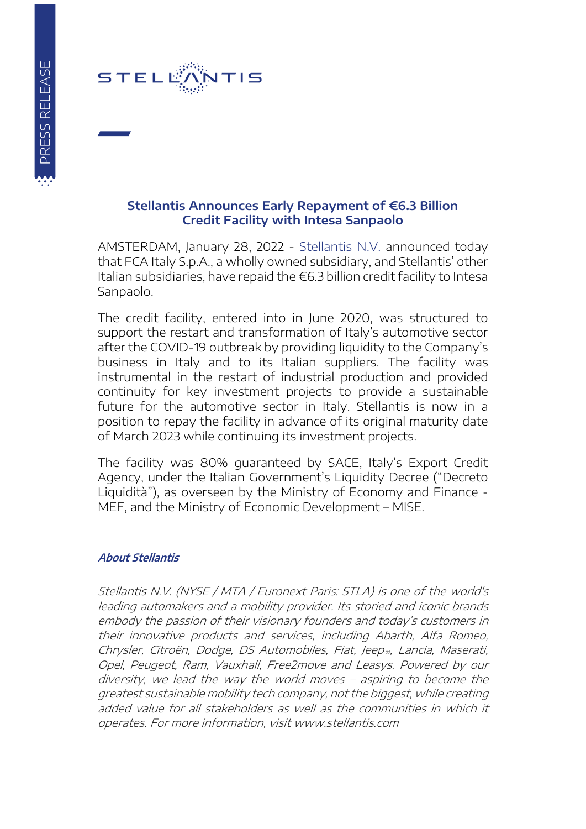

## **Stellantis Announces Early Repayment of €6.3 Billion Credit Facility with Intesa Sanpaolo**

AMSTERDAM, January 28, 2022 - [Stellantis N.V.](https://www.stellantis.com/en) announced today that FCA Italy S.p.A., a wholly owned subsidiary, and Stellantis' other Italian subsidiaries, have repaid the €6.3 billion credit facility to Intesa Sanpaolo.

The credit facility, entered into in June 2020, was structured to support the restart and transformation of Italy's automotive sector after the COVID-19 outbreak by providing liquidity to the Company's business in Italy and to its Italian suppliers. The facility was instrumental in the restart of industrial production and provided continuity for key investment projects to provide a sustainable future for the automotive sector in Italy. Stellantis is now in a position to repay the facility in advance of its original maturity date of March 2023 while continuing its investment projects.

The facility was 80% guaranteed by SACE, Italy's Export Credit Agency, under the Italian Government's Liquidity Decree ("Decreto Liquidità"), as overseen by the Ministry of Economy and Finance - MEF, and the Ministry of Economic Development – MISE.

## **About Stellantis**

Stellantis N.V. (NYSE / MTA / Euronext Paris: STLA) is one of the world's leading automakers and a mobility provider. Its storied and iconic brands embody the passion of their visionary founders and today's customers in their innovative products and services, including Abarth, Alfa Romeo, Chrysler, Citroën, Dodge, DS Automobiles, Fiat, Jeep®, Lancia, Maserati, Opel, Peugeot, Ram, Vauxhall, Free2move and Leasys. Powered by our diversity, we lead the way the world moves – aspiring to become the greatest sustainable mobility tech company, not the biggest, while creating added value for all stakeholders as well as the communities in which it operates. For more information, visit www.stellantis.com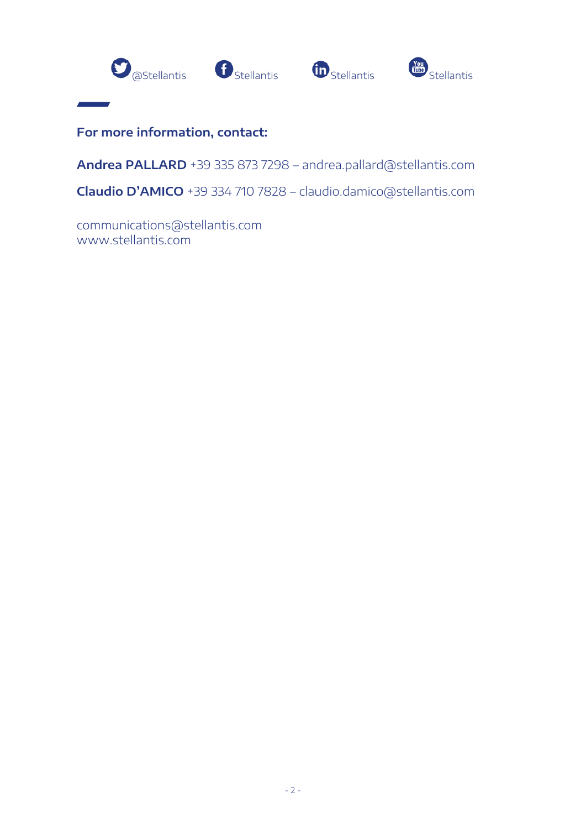







**For more information, contact:**

**Andrea PALLARD** +39 335 873 7298 – andrea.pallard@stellantis.com

**Claudio D'AMICO** +39 334 710 7828 – claudio.damico@stellantis.com

[communications@stellantis.com](mailto:communications@stellantis.com) www.stellantis.com